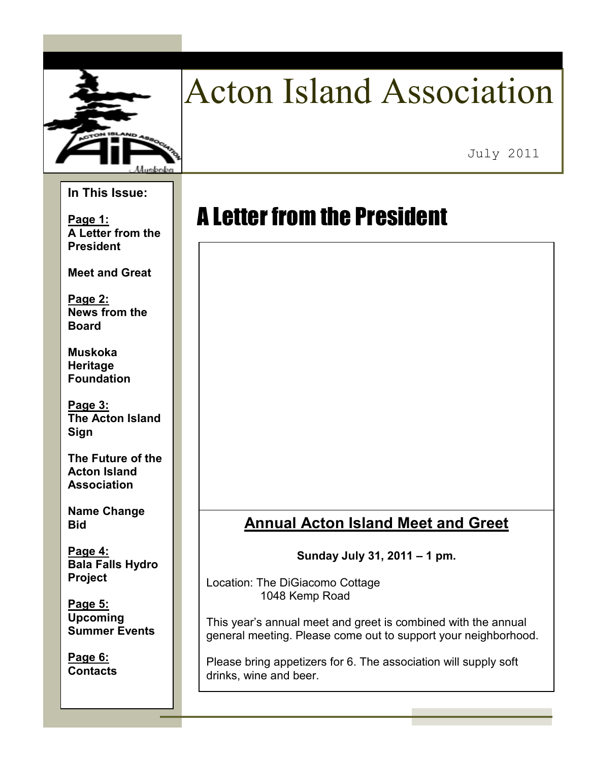

# Acton Island Association

July 2011

#### **In This Issue:**

**Page 1: A Letter from the President** 

**Meet and Great** 

**Page 2: News from the Board** 

**Muskoka Heritage Foundation** 

**Page 3: The Acton Island Sign** 

**The Future of the Acton Island Association** 

**Name Change Bid** 

**Page 4: Bala Falls Hydro Project** 

**Page 5: Upcoming Summer Events** 

**Page 6: Contacts** 

## A Letter from the President

## **Annual Acton Island Meet and Greet**

**Sunday July 31, 2011 – 1 pm.** 

Location: The DiGiacomo Cottage 1048 Kemp Road

This year's annual meet and greet is combined with the annual general meeting. Please come out to support your neighborhood.

Please bring appetizers for 6. The association will supply soft drinks, wine and beer.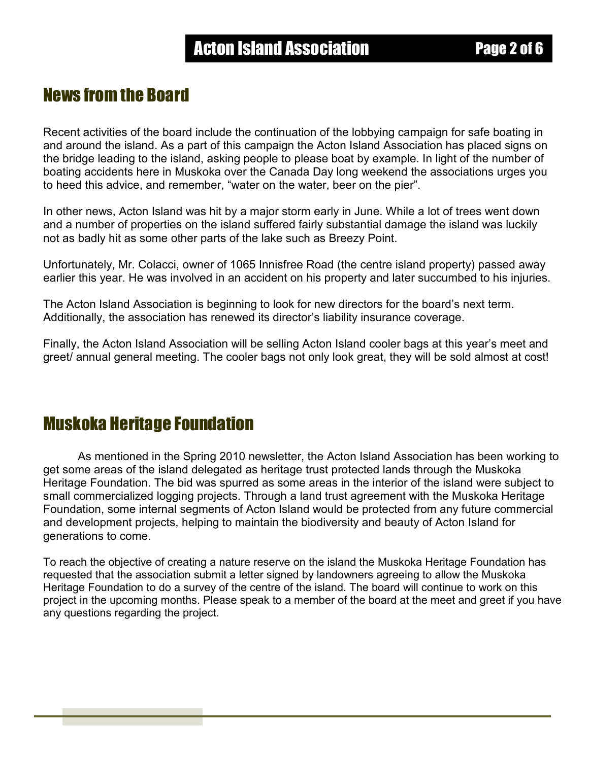## News from the Board

Recent activities of the board include the continuation of the lobbying campaign for safe boating in and around the island. As a part of this campaign the Acton Island Association has placed signs on the bridge leading to the island, asking people to please boat by example. In light of the number of boating accidents here in Muskoka over the Canada Day long weekend the associations urges you to heed this advice, and remember, "water on the water, beer on the pier".

In other news, Acton Island was hit by a major storm early in June. While a lot of trees went down and a number of properties on the island suffered fairly substantial damage the island was luckily not as badly hit as some other parts of the lake such as Breezy Point.

Unfortunately, Mr. Colacci, owner of 1065 Innisfree Road (the centre island property) passed away earlier this year. He was involved in an accident on his property and later succumbed to his injuries.

The Acton Island Association is beginning to look for new directors for the board's next term. Additionally, the association has renewed its director's liability insurance coverage.

Finally, the Acton Island Association will be selling Acton Island cooler bags at this year's meet and greet/ annual general meeting. The cooler bags not only look great, they will be sold almost at cost!

## Muskoka Heritage Foundation

 As mentioned in the Spring 2010 newsletter, the Acton Island Association has been working to get some areas of the island delegated as heritage trust protected lands through the Muskoka Heritage Foundation. The bid was spurred as some areas in the interior of the island were subject to small commercialized logging projects. Through a land trust agreement with the Muskoka Heritage Foundation, some internal segments of Acton Island would be protected from any future commercial and development projects, helping to maintain the biodiversity and beauty of Acton Island for generations to come.

To reach the objective of creating a nature reserve on the island the Muskoka Heritage Foundation has requested that the association submit a letter signed by landowners agreeing to allow the Muskoka Heritage Foundation to do a survey of the centre of the island. The board will continue to work on this project in the upcoming months. Please speak to a member of the board at the meet and greet if you have any questions regarding the project.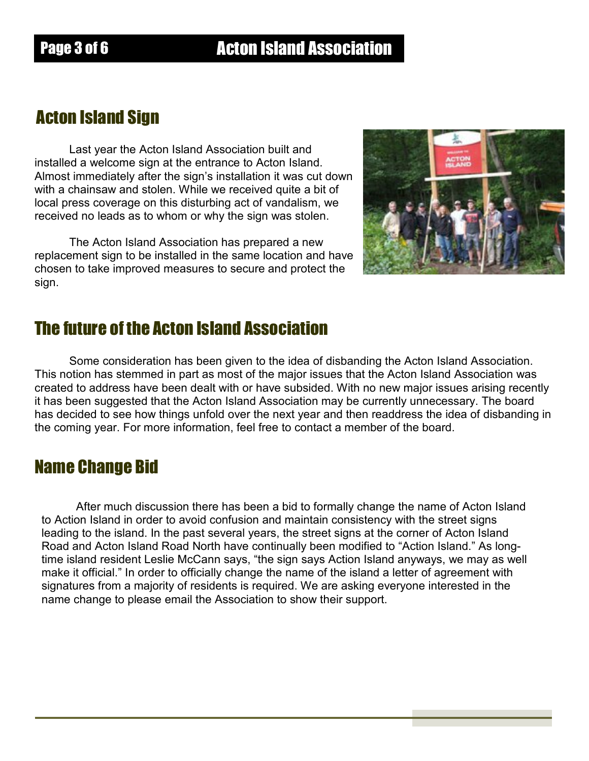## Acton Island Sign

Last year the Acton Island Association built and installed a welcome sign at the entrance to Acton Island. Almost immediately after the sign's installation it was cut down with a chainsaw and stolen. While we received quite a bit of local press coverage on this disturbing act of vandalism, we received no leads as to whom or why the sign was stolen.

The Acton Island Association has prepared a new replacement sign to be installed in the same location and have chosen to take improved measures to secure and protect the sign.



## The future of the Acton Island Association

Some consideration has been given to the idea of disbanding the Acton Island Association. This notion has stemmed in part as most of the major issues that the Acton Island Association was created to address have been dealt with or have subsided. With no new major issues arising recently it has been suggested that the Acton Island Association may be currently unnecessary. The board has decided to see how things unfold over the next year and then readdress the idea of disbanding in the coming year. For more information, feel free to contact a member of the board.

### Name Change Bid

After much discussion there has been a bid to formally change the name of Acton Island to Action Island in order to avoid confusion and maintain consistency with the street signs leading to the island. In the past several years, the street signs at the corner of Acton Island Road and Acton Island Road North have continually been modified to "Action Island." As longtime island resident Leslie McCann says, "the sign says Action Island anyways, we may as well make it official." In order to officially change the name of the island a letter of agreement with signatures from a majority of residents is required. We are asking everyone interested in the name change to please email the Association to show their support.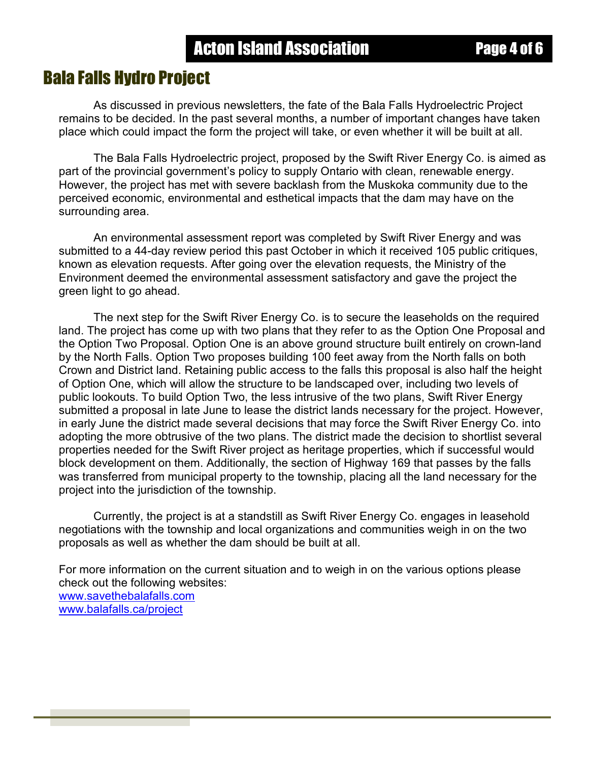#### Bala Falls Hydro Project

As discussed in previous newsletters, the fate of the Bala Falls Hydroelectric Project remains to be decided. In the past several months, a number of important changes have taken place which could impact the form the project will take, or even whether it will be built at all.

The Bala Falls Hydroelectric project, proposed by the Swift River Energy Co. is aimed as part of the provincial government's policy to supply Ontario with clean, renewable energy. However, the project has met with severe backlash from the Muskoka community due to the perceived economic, environmental and esthetical impacts that the dam may have on the surrounding area.

An environmental assessment report was completed by Swift River Energy and was submitted to a 44-day review period this past October in which it received 105 public critiques, known as elevation requests. After going over the elevation requests, the Ministry of the Environment deemed the environmental assessment satisfactory and gave the project the green light to go ahead.

The next step for the Swift River Energy Co. is to secure the leaseholds on the required land. The project has come up with two plans that they refer to as the Option One Proposal and the Option Two Proposal. Option One is an above ground structure built entirely on crown-land by the North Falls. Option Two proposes building 100 feet away from the North falls on both Crown and District land. Retaining public access to the falls this proposal is also half the height of Option One, which will allow the structure to be landscaped over, including two levels of public lookouts. To build Option Two, the less intrusive of the two plans, Swift River Energy submitted a proposal in late June to lease the district lands necessary for the project. However, in early June the district made several decisions that may force the Swift River Energy Co. into adopting the more obtrusive of the two plans. The district made the decision to shortlist several properties needed for the Swift River project as heritage properties, which if successful would block development on them. Additionally, the section of Highway 169 that passes by the falls was transferred from municipal property to the township, placing all the land necessary for the project into the jurisdiction of the township.

 Currently, the project is at a standstill as Swift River Energy Co. engages in leasehold negotiations with the township and local organizations and communities weigh in on the two proposals as well as whether the dam should be built at all.

For more information on the current situation and to weigh in on the various options please check out the following websites: www.savethebalafalls.com www.balafalls.ca/project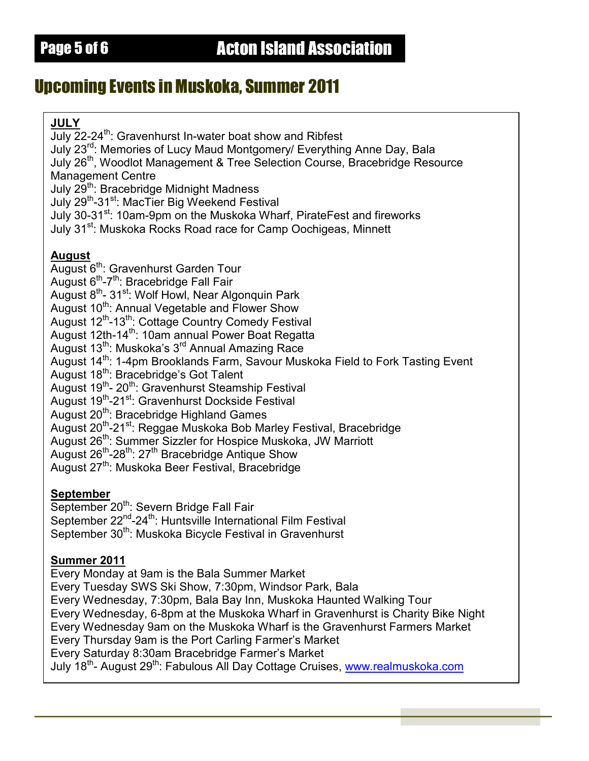## Upcoming Events in Muskoka, Summer 2011

#### **JULY**

July 22-24<sup>th</sup>: Gravenhurst In-water boat show and Ribfest July 23rd: Memories of Lucy Maud Montgomery/ Everything Anne Day, Bala July 26<sup>th</sup>, Woodlot Management & Tree Selection Course, Bracebridge Resource Management Centre July 29<sup>th</sup>: Bracebridge Midnight Madness July 29<sup>th</sup>-31<sup>st</sup>: MacTier Big Weekend Festival July 30-31<sup>st</sup>: 10am-9pm on the Muskoka Wharf, PirateFest and fireworks July 31<sup>st</sup>: Muskoka Rocks Road race for Camp Oochigeas, Minnett **August** August 6<sup>th</sup>: Gravenhurst Garden Tour August  $6<sup>th</sup> - 7<sup>th</sup>$ : Bracebridge Fall Fair August 8<sup>th</sup>- 31<sup>st</sup>: Wolf Howl, Near Algonquin Park August 10<sup>th</sup>: Annual Vegetable and Flower Show August 12<sup>th</sup>-13<sup>th</sup>: Cottage Country Comedy Festival August 12th-14<sup>th</sup>: 10am annual Power Boat Regatta August 13<sup>th</sup>: Muskoka's 3<sup>rd</sup> Annual Amazing Race August 14<sup>th</sup>: 1-4pm Brooklands Farm, Savour Muskoka Field to Fork Tasting Event August 18<sup>th</sup>: Bracebridge's Got Talent August 19<sup>th</sup>- 20<sup>th</sup>: Gravenhurst Steamship Festival August 19<sup>th</sup>-21<sup>st</sup>: Gravenhurst Dockside Festival August 20<sup>th</sup>: Bracebridge Highland Games August 20<sup>th</sup>-21<sup>st</sup>: Reggae Muskoka Bob Marley Festival, Bracebridge August 26<sup>th</sup>: Summer Sizzler for Hospice Muskoka, JW Marriott August 26<sup>th</sup>-28<sup>th</sup>: 27<sup>th</sup> Bracebridge Antique Show August 27<sup>th</sup>: Muskoka Beer Festival, Bracebridge

**September**

September 20<sup>th</sup>: Severn Bridge Fall Fair September 22<sup>nd</sup>-24<sup>th</sup>: Huntsville International Film Festival September 30<sup>th</sup>: Muskoka Bicycle Festival in Gravenhurst

#### **Summer 2011**

Every Monday at 9am is the Bala Summer Market Every Tuesday SWS Ski Show, 7:30pm, Windsor Park, Bala Every Wednesday, 7:30pm, Bala Bay Inn, Muskoka Haunted Walking Tour Every Wednesday, 6-8pm at the Muskoka Wharf in Gravenhurst is Charity Bike Night Every Wednesday 9am on the Muskoka Wharf is the Gravenhurst Farmers Market Every Thursday 9am is the Port Carling Farmer's Market Every Saturday 8:30am Bracebridge Farmer's Market July 18th- August 29th: Fabulous All Day Cottage Cruises, www.realmuskoka.com